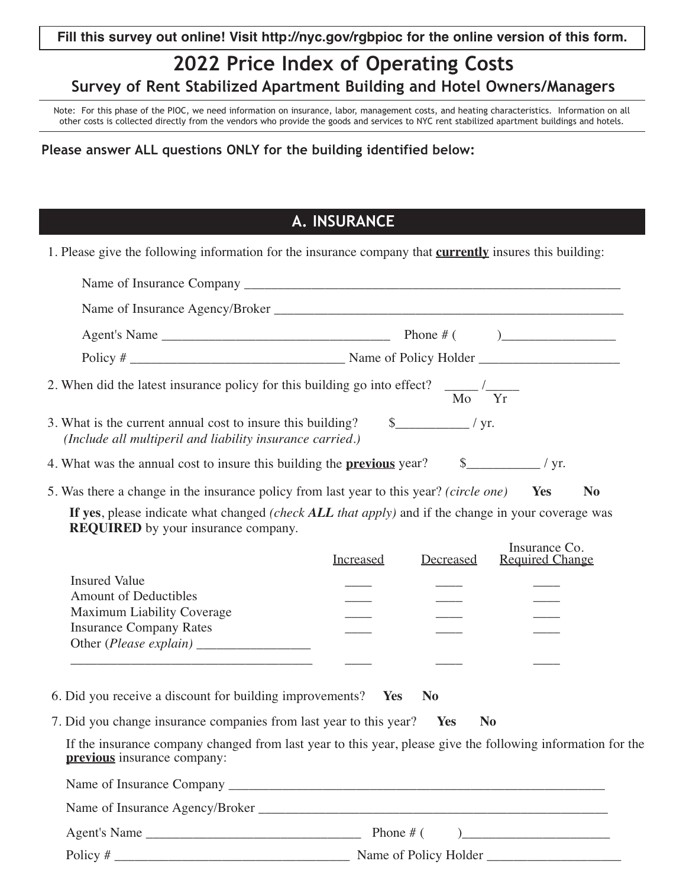## **2022 Price Index of Operating Costs Survey of Rent Stabilized Apartment Building and Hotel Owners/Managers**

Note: For this phase of the PIOC, we need information on insurance, labor, management costs, and heating characteristics. Information on all other costs is collected directly from the vendors who provide the goods and services to NYC rent stabilized apartment buildings and hotels.

## **Please answer ALL questions ONLY for the building identified below:**

## **A. INSURANCE**

1. Please give the following information for the insurance company that **currently** insures this building:

|                                                                                                                                                                         | 2. When did the latest insurance policy for this building go into effect? $\frac{1}{\text{Mo}}$ $\frac{1}{\text{Yr}}$                                                          |
|-------------------------------------------------------------------------------------------------------------------------------------------------------------------------|--------------------------------------------------------------------------------------------------------------------------------------------------------------------------------|
| 3. What is the current annual cost to insure this building? $\qquad$ \[\stat_{\math}_{\math}_\right) / yr.<br>(Include all multiperil and liability insurance carried.) |                                                                                                                                                                                |
|                                                                                                                                                                         |                                                                                                                                                                                |
|                                                                                                                                                                         | 5. Was there a change in the insurance policy from last year to this year? (circle one) Ves<br>N <sub>0</sub>                                                                  |
| <b>REQUIRED</b> by your insurance company.<br><b>Insured Value</b><br><b>Amount of Deductibles</b><br>Maximum Liability Coverage<br><b>Insurance Company Rates</b>      | If yes, please indicate what changed <i>(check ALL that apply)</i> and if the change in your coverage was<br>Insurance Co.<br><b>Required Change</b><br>Increased<br>Decreased |
| 6. Did you receive a discount for building improvements? Yes                                                                                                            | <b>No</b>                                                                                                                                                                      |
| 7. Did you change insurance companies from last year to this year? Yes                                                                                                  | N <sub>0</sub>                                                                                                                                                                 |
| previous insurance company:                                                                                                                                             | If the insurance company changed from last year to this year, please give the following information for the                                                                    |
|                                                                                                                                                                         |                                                                                                                                                                                |
|                                                                                                                                                                         |                                                                                                                                                                                |
|                                                                                                                                                                         |                                                                                                                                                                                |
|                                                                                                                                                                         |                                                                                                                                                                                |

Policy # \_\_\_\_\_\_\_\_\_\_\_\_\_\_\_\_\_\_\_\_\_\_\_\_\_\_\_\_\_\_\_\_\_\_\_ Name of Policy Holder \_\_\_\_\_\_\_\_\_\_\_\_\_\_\_\_\_\_\_\_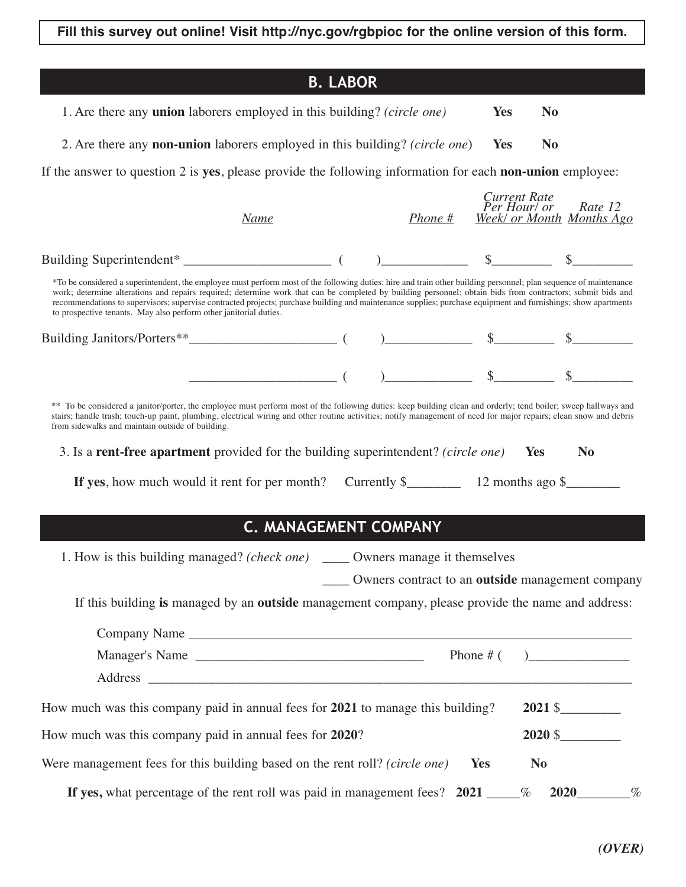**Fill this survey out online! Visit http://nyc.gov/rgbpioc for the online version of this form.**

|                                                                                                                                                                                                                                                                                                                                                                                                                                                                                                                                                                         | <b>B. LABOR</b> |         |              |                                                                                                                 |  |
|-------------------------------------------------------------------------------------------------------------------------------------------------------------------------------------------------------------------------------------------------------------------------------------------------------------------------------------------------------------------------------------------------------------------------------------------------------------------------------------------------------------------------------------------------------------------------|-----------------|---------|--------------|-----------------------------------------------------------------------------------------------------------------|--|
| 1. Are there any <b>union</b> laborers employed in this building? (circle one)                                                                                                                                                                                                                                                                                                                                                                                                                                                                                          |                 |         | <b>Yes</b>   | N <sub>0</sub>                                                                                                  |  |
|                                                                                                                                                                                                                                                                                                                                                                                                                                                                                                                                                                         |                 |         |              |                                                                                                                 |  |
| 2. Are there any <b>non-union</b> laborers employed in this building? (circle one)                                                                                                                                                                                                                                                                                                                                                                                                                                                                                      |                 |         | <b>Yes</b>   | N <sub>0</sub>                                                                                                  |  |
| If the answer to question 2 is yes, please provide the following information for each non-union employee:                                                                                                                                                                                                                                                                                                                                                                                                                                                               |                 |         |              |                                                                                                                 |  |
| <b>Name</b>                                                                                                                                                                                                                                                                                                                                                                                                                                                                                                                                                             |                 | Phone # | Current Rate | Per Hour/ or Rate 12<br><b>Week/ or Month Months Ago</b>                                                        |  |
|                                                                                                                                                                                                                                                                                                                                                                                                                                                                                                                                                                         |                 |         |              |                                                                                                                 |  |
| *To be considered a superintendent, the employee must perform most of the following duties: hire and train other building personnel; plan sequence of maintenance<br>work; determine alterations and repairs required; determine work that can be completed by building personnel; obtain bids from contractors; submit bids and<br>recommendations to supervisors; supervise contracted projects; purchase building and maintenance supplies; purchase equipment and furnishings; show apartments<br>to prospective tenants. May also perform other janitorial duties. |                 |         |              |                                                                                                                 |  |
|                                                                                                                                                                                                                                                                                                                                                                                                                                                                                                                                                                         |                 |         |              | $\frac{\text{S}}{\text{S}}$ $\frac{\text{S}}{\text{S}}$ $\frac{\text{S}}{\text{S}}$ $\frac{\text{S}}{\text{S}}$ |  |
|                                                                                                                                                                                                                                                                                                                                                                                                                                                                                                                                                                         |                 |         |              |                                                                                                                 |  |
| ** To be considered a janitor/porter, the employee must perform most of the following duties: keep building clean and orderly; tend boiler; sweep hallways and<br>stairs; handle trash; touch-up paint, plumbing, electrical wiring and other routine activities; notify management of need for major repairs; clean snow and debris<br>from sidewalks and maintain outside of building.                                                                                                                                                                                |                 |         |              |                                                                                                                 |  |
| 3. Is a <b>rent-free apartment</b> provided for the building superintendent? <i>(circle one)</i>                                                                                                                                                                                                                                                                                                                                                                                                                                                                        |                 |         |              | Yes<br>N <sub>0</sub>                                                                                           |  |
| If yes, how much would it rent for per month? Currently $\frac{12}{2}$ months ago $\frac{12}{2}$                                                                                                                                                                                                                                                                                                                                                                                                                                                                        |                 |         |              |                                                                                                                 |  |
| <b>C. MANAGEMENT COMPANY</b>                                                                                                                                                                                                                                                                                                                                                                                                                                                                                                                                            |                 |         |              |                                                                                                                 |  |
|                                                                                                                                                                                                                                                                                                                                                                                                                                                                                                                                                                         |                 |         |              |                                                                                                                 |  |
| 1. How is this building managed? (check one) ______ Owners manage it themselves                                                                                                                                                                                                                                                                                                                                                                                                                                                                                         |                 |         |              |                                                                                                                 |  |
|                                                                                                                                                                                                                                                                                                                                                                                                                                                                                                                                                                         |                 |         |              | Owners contract to an <b>outside</b> management company                                                         |  |
| If this building is managed by an outside management company, please provide the name and address:                                                                                                                                                                                                                                                                                                                                                                                                                                                                      |                 |         |              |                                                                                                                 |  |
| Company Name                                                                                                                                                                                                                                                                                                                                                                                                                                                                                                                                                            |                 |         |              |                                                                                                                 |  |
| Manager's Name                                                                                                                                                                                                                                                                                                                                                                                                                                                                                                                                                          |                 |         |              | Phone # $($ $)$                                                                                                 |  |
|                                                                                                                                                                                                                                                                                                                                                                                                                                                                                                                                                                         |                 |         |              |                                                                                                                 |  |
| How much was this company paid in annual fees for 2021 to manage this building?                                                                                                                                                                                                                                                                                                                                                                                                                                                                                         |                 |         |              | $2021 \text{ }$                                                                                                 |  |
| How much was this company paid in annual fees for 2020?                                                                                                                                                                                                                                                                                                                                                                                                                                                                                                                 |                 |         |              | $2020$ \$                                                                                                       |  |
| Were management fees for this building based on the rent roll? (circle one)                                                                                                                                                                                                                                                                                                                                                                                                                                                                                             |                 |         | <b>Yes</b>   | N <sub>0</sub>                                                                                                  |  |
| If yes, what percentage of the rent roll was paid in management fees? $2021$ ____%                                                                                                                                                                                                                                                                                                                                                                                                                                                                                      |                 |         |              | $2020$ %                                                                                                        |  |